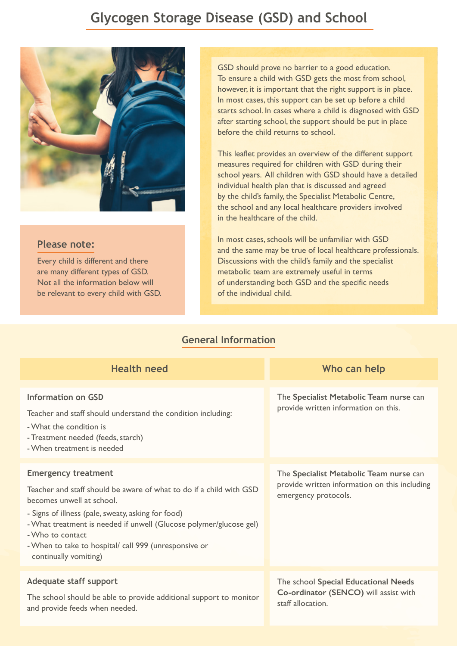## **Glycogen Storage Disease (GSD) and School**



## **Please note:**

Every child is different and there are many different types of GSD. Not all the information below will be relevant to every child with GSD. GSD should prove no barrier to a good education. To ensure a child with GSD gets the most from school, however, it is important that the right support is in place. In most cases, this support can be set up before a child starts school. In cases where a child is diagnosed with GSD after starting school, the support should be put in place before the child returns to school.

This leaflet provides an overview of the different support measures required for children with GSD during their school years. All children with GSD should have a detailed individual health plan that is discussed and agreed by the child's family, the Specialist Metabolic Centre, the school and any local healthcare providers involved in the healthcare of the child.

In most cases, schools will be unfamiliar with GSD and the same may be true of local healthcare professionals. Discussions with the child's family and the specialist metabolic team are extremely useful in terms of understanding both GSD and the specific needs of the individual child.

## **General Information**

| <b>Health need</b>                                                                                                                                                                                                                                                                                                                                               | Who can help                                                                                                     |
|------------------------------------------------------------------------------------------------------------------------------------------------------------------------------------------------------------------------------------------------------------------------------------------------------------------------------------------------------------------|------------------------------------------------------------------------------------------------------------------|
| <b>Information on GSD</b><br>Teacher and staff should understand the condition including:<br>- What the condition is<br>- Treatment needed (feeds, starch)<br>- When treatment is needed                                                                                                                                                                         | The Specialist Metabolic Team nurse can<br>provide written information on this.                                  |
| <b>Emergency treatment</b><br>Teacher and staff should be aware of what to do if a child with GSD<br>becomes unwell at school.<br>- Signs of illness (pale, sweaty, asking for food)<br>- What treatment is needed if unwell (Glucose polymer/glucose gel)<br>- Who to contact<br>- When to take to hospital/ call 999 (unresponsive or<br>continually vomiting) | The Specialist Metabolic Team nurse can<br>provide written information on this including<br>emergency protocols. |
| Adequate staff support<br>The school should be able to provide additional support to monitor<br>and provide feeds when needed.                                                                                                                                                                                                                                   | The school Special Educational Needs<br>Co-ordinator (SENCO) will assist with<br>staff allocation.               |